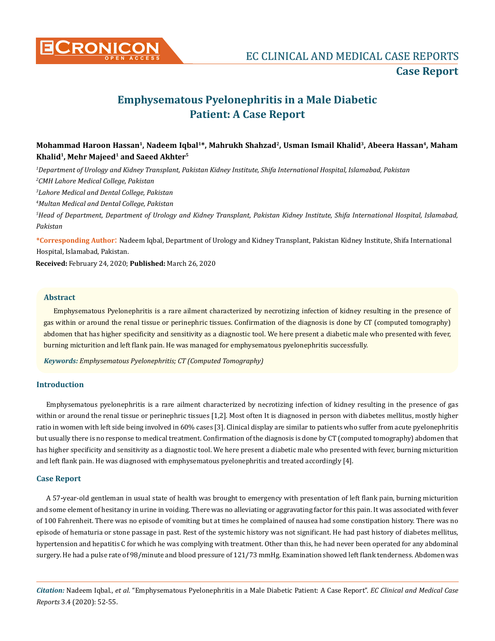

# **Emphysematous Pyelonephritis in a Male Diabetic Patient: A Case Report**

# **Mohammad Haroon Hassan1, Nadeem Iqbal1\*, Mahrukh Shahzad2, Usman Ismail Khalid3, Abeera Hassan4, Maham Khalid1, Mehr Majeed1 and Saeed Akhter5**

 *Department of Urology and Kidney Transplant, Pakistan Kidney Institute, Shifa International Hospital, Islamabad, Pakistan CMH Lahore Medical College, Pakistan Lahore Medical and Dental College, Pakistan Multan Medical and Dental College, Pakistan Head of Department, Department of Urology and Kidney Transplant, Pakistan Kidney Institute, Shifa International Hospital, Islamabad, Pakistan* **\*Corresponding Author**: Nadeem Iqbal, Department of Urology and Kidney Transplant, Pakistan Kidney Institute, Shifa International Hospital, Islamabad, Pakistan.

**Received:** February 24, 2020; **Published:** March 26, 2020

## **Abstract**

Emphysematous Pyelonephritis is a rare ailment characterized by necrotizing infection of kidney resulting in the presence of gas within or around the renal tissue or perinephric tissues. Confirmation of the diagnosis is done by CT (computed tomography) abdomen that has higher specificity and sensitivity as a diagnostic tool. We here present a diabetic male who presented with fever, burning micturition and left flank pain. He was managed for emphysematous pyelonephritis successfully.

*Keywords: Emphysematous Pyelonephritis; CT (Computed Tomography)*

#### **Introduction**

Emphysematous pyelonephritis is a rare ailment characterized by necrotizing infection of kidney resulting in the presence of gas within or around the renal tissue or perinephric tissues [1,2]. Most often It is diagnosed in person with diabetes mellitus, mostly higher ratio in women with left side being involved in 60% cases [3]. Clinical display are similar to patients who suffer from acute pyelonephritis but usually there is no response to medical treatment. Confirmation of the diagnosis is done by CT (computed tomography) abdomen that has higher specificity and sensitivity as a diagnostic tool. We here present a diabetic male who presented with fever, burning micturition and left flank pain. He was diagnosed with emphysematous pyelonephritis and treated accordingly [4].

### **Case Report**

A 57**-**year-old gentleman in usual state of health was brought to emergency with presentation of left flank pain, burning micturition and some element of hesitancy in urine in voiding. There was no alleviating or aggravating factor for this pain. It was associated with fever of 100 Fahrenheit. There was no episode of vomiting but at times he complained of nausea had some constipation history. There was no episode of hematuria or stone passage in past. Rest of the systemic history was not significant. He had past history of diabetes mellitus, hypertension and hepatitis C for which he was complying with treatment. Other than this, he had never been operated for any abdominal surgery. He had a pulse rate of 98/minute and blood pressure of 121/73 mmHg. Examination showed left flank tenderness. Abdomen was

*Citation:* Nadeem Iqbal., *et al*. "Emphysematous Pyelonephritis in a Male Diabetic Patient: A Case Report". *EC Clinical and Medical Case Reports* 3.4 (2020): 52-55.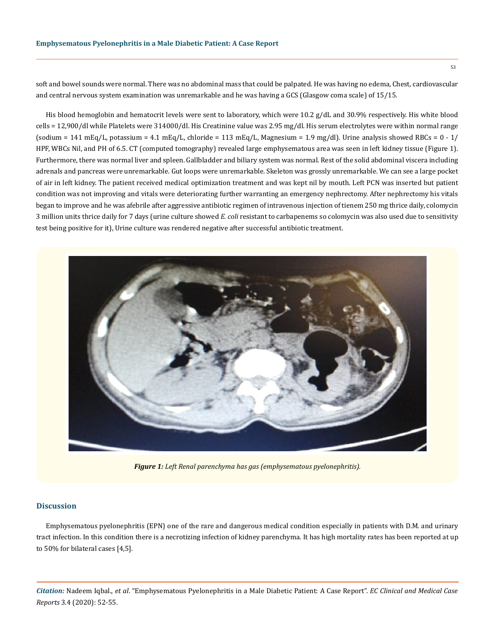soft and bowel sounds were normal. There was no abdominal mass that could be palpated. He was having no edema, Chest, cardiovascular and central nervous system examination was unremarkable and he was having a GCS (Glasgow coma scale) of 15/15.

His blood hemoglobin and hematocrit levels were sent to laboratory, which were 10.2 g/dL and 30.9% respectively. His white blood cells = 12,900/dl while Platelets were 314000/dl. His Creatinine value was 2.95 mg/dl. His serum electrolytes were within normal range (sodium = 141 mEq/L, potassium = 4.1 mEq/L, chloride = 113 mEq/L, Magnesium = 1.9 mg/dl). Urine analysis showed RBCs =  $0 - 1/$ HPF, WBCs Nil, and PH of 6.5. CT (computed tomography) revealed large emphysematous area was seen in left kidney tissue (Figure 1). Furthermore, there was normal liver and spleen. Gallbladder and biliary system was normal. Rest of the solid abdominal viscera including adrenals and pancreas were unremarkable. Gut loops were unremarkable. Skeleton was grossly unremarkable. We can see a large pocket of air in left kidney. The patient received medical optimization treatment and was kept nil by mouth. Left PCN was inserted but patient condition was not improving and vitals were deteriorating further warranting an emergency nephrectomy. After nephrectomy his vitals began to improve and he was afebrile after aggressive antibiotic regimen of intravenous injection of tienem 250 mg thrice daily, colomycin 3 million units thrice daily for 7 days (urine culture showed *E. coli* resistant to carbapenems so colomycin was also used due to sensitivity test being positive for it), Urine culture was rendered negative after successful antibiotic treatment.



*Figure 1: Left Renal parenchyma has gas (emphysematous pyelonephritis).*

#### **Discussion**

Emphysematous pyelonephritis (EPN) one of the rare and dangerous medical condition especially in patients with D.M. and urinary tract infection. In this condition there is a necrotizing infection of kidney parenchyma. It has high mortality rates has been reported at up to 50% for bilateral cases [4,5].

*Citation:* Nadeem Iqbal., *et al*. "Emphysematous Pyelonephritis in a Male Diabetic Patient: A Case Report". *EC Clinical and Medical Case Reports* 3.4 (2020): 52-55.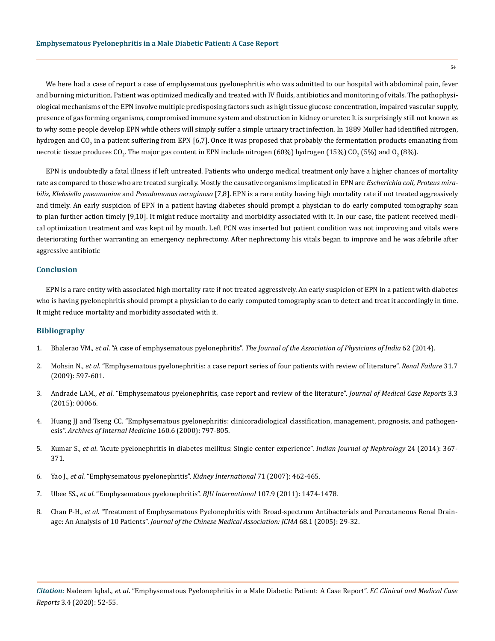We here had a case of report a case of emphysematous pyelonephritis who was admitted to our hospital with abdominal pain, fever and burning micturition. Patient was optimized medically and treated with IV fluids, antibiotics and monitoring of vitals. The pathophysiological mechanisms of the EPN involve multiple predisposing factors such as high tissue glucose concentration, impaired vascular supply, presence of gas forming organisms, compromised immune system and obstruction in kidney or ureter. It is surprisingly still not known as to why some people develop EPN while others will simply suffer a simple urinary tract infection. In 1889 Muller had identified nitrogen, hydrogen and CO<sub>2</sub> in a patient suffering from EPN [6,7]. Once it was proposed that probably the fermentation products emanating from necrotic tissue produces CO<sub>2</sub>. The major gas content in EPN include nitrogen (60%) hydrogen (15%) CO<sub>2</sub> (5%) and O<sub>2</sub> (8%).

EPN is undoubtedly a fatal illness if left untreated. Patients who undergo medical treatment only have a higher chances of mortality rate as compared to those who are treated surgically. Mostly the causative organisms implicated in EPN are *Escherichia coli*, *Proteus mirabilis, Klebsiella pneumoniae* and *Pseudomonas aeruginosa* [7,8]. EPN is a rare entity having high mortality rate if not treated aggressively and timely. An early suspicion of EPN in a patient having diabetes should prompt a physician to do early computed tomography scan to plan further action timely [9,10]. It might reduce mortality and morbidity associated with it. In our case, the patient received medical optimization treatment and was kept nil by mouth. Left PCN was inserted but patient condition was not improving and vitals were deteriorating further warranting an emergency nephrectomy. After nephrectomy his vitals began to improve and he was afebrile after aggressive antibiotic

### **Conclusion**

EPN is a rare entity with associated high mortality rate if not treated aggressively. An early suspicion of EPN in a patient with diabetes who is having pyelonephritis should prompt a physician to do early computed tomography scan to detect and treat it accordingly in time. It might reduce mortality and morbidity associated with it.

### **Bibliography**

- 1. Bhalerao VM., *et al*. "A case of emphysematous pyelonephritis". *[The Journal of the Association of Physicians of India](https://www.ncbi.nlm.nih.gov/pmc/articles/PMC3955493/)* 62 (2014).
- 2. Mohsin N., *et al*[. "Emphysematous pyelonephritis: a case report series of four patients with review of literature".](https://www.tandfonline.com/doi/full/10.1080/08860220903003396) *Renal Failure* 31.7 [\(2009\): 597-601.](https://www.tandfonline.com/doi/full/10.1080/08860220903003396)
- 3. Andrade LAM., *et al*[. "Emphysematous pyelonephritis, case report and review of the literature".](https://www.researchgate.net/publication/285804203_Emphysematous_Pyelonephritis_Case_Report_and_Review_of_the_Literature) *Journal of Medical Case Reports* 3.3 [\(2015\): 00066.](https://www.researchgate.net/publication/285804203_Emphysematous_Pyelonephritis_Case_Report_and_Review_of_the_Literature)
- 4. [Huang JJ and Tseng CC. "Emphysematous pyelonephritis: clinicoradiological classification, management, prognosis, and pathogen](https://www.ncbi.nlm.nih.gov/pubmed/10737279)esis". *[Archives of Internal Medicine](https://www.ncbi.nlm.nih.gov/pubmed/10737279)* 160.6 (2000): 797-805.
- 5. Kumar S., *et al*[. "Acute pyelonephritis in diabetes mellitus: Single center experience".](https://www.ncbi.nlm.nih.gov/pmc/articles/PMC4244716/) *Indian Journal of Nephrology* 24 (2014): 367- [371.](https://www.ncbi.nlm.nih.gov/pmc/articles/PMC4244716/)
- 6. Yao J., *et al*[. "Emphysematous pyelonephritis".](https://www.ncbi.nlm.nih.gov/pubmed/17469032) *Kidney International* 71 (2007): 462-465.
- 7. Ubee SS., *et al*[. "Emphysematous pyelonephritis".](https://www.ncbi.nlm.nih.gov/pubmed/20840327) *BJU International* 107.9 (2011): 1474-1478.
- 8. Chan P-H., *et al*[. "Treatment of Emphysematous Pyelonephritis with Broad-spectrum Antibacterials and Percutaneous Renal Drain](https://www.ncbi.nlm.nih.gov/pubmed/15742860)age: An Analysis of 10 Patients". *[Journal of the Chinese Medical Association: JCMA](https://www.ncbi.nlm.nih.gov/pubmed/15742860)* 68.1 (2005): 29-32.